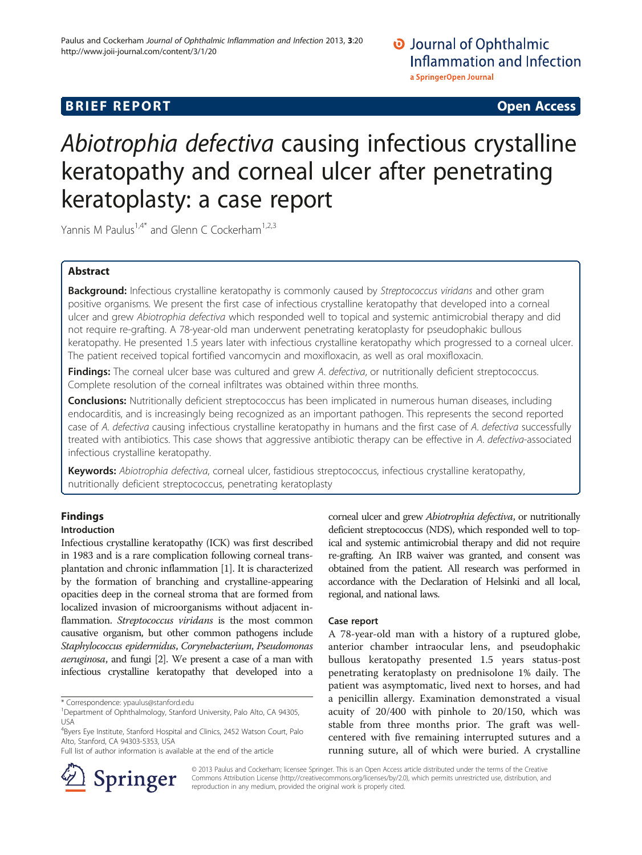# **BRIEF REPORT CONSTRUCTED ACCESS**

# Abiotrophia defectiva causing infectious crystalline keratopathy and corneal ulcer after penetrating keratoplasty: a case report

Yannis M Paulus<sup>1,4\*</sup> and Glenn C Cockerham<sup>1,2,3</sup>

# Abstract

Background: Infectious crystalline keratopathy is commonly caused by Streptococcus viridans and other gram positive organisms. We present the first case of infectious crystalline keratopathy that developed into a corneal ulcer and grew Abiotrophia defectiva which responded well to topical and systemic antimicrobial therapy and did not require re-grafting. A 78-year-old man underwent penetrating keratoplasty for pseudophakic bullous keratopathy. He presented 1.5 years later with infectious crystalline keratopathy which progressed to a corneal ulcer. The patient received topical fortified vancomycin and moxifloxacin, as well as oral moxifloxacin.

Findings: The corneal ulcer base was cultured and grew A. defectiva, or nutritionally deficient streptococcus. Complete resolution of the corneal infiltrates was obtained within three months.

**Conclusions:** Nutritionally deficient streptococcus has been implicated in numerous human diseases, including endocarditis, and is increasingly being recognized as an important pathogen. This represents the second reported case of A. defectiva causing infectious crystalline keratopathy in humans and the first case of A. defectiva successfully treated with antibiotics. This case shows that aggressive antibiotic therapy can be effective in A. defectiva-associated infectious crystalline keratopathy.

Keywords: Abiotrophia defectiva, corneal ulcer, fastidious streptococcus, infectious crystalline keratopathy, nutritionally deficient streptococcus, penetrating keratoplasty

# Findings

## Introduction

Infectious crystalline keratopathy (ICK) was first described in 1983 and is a rare complication following corneal transplantation and chronic inflammation [\[1\]](#page-2-0). It is characterized by the formation of branching and crystalline-appearing opacities deep in the corneal stroma that are formed from localized invasion of microorganisms without adjacent inflammation. Streptococcus viridans is the most common causative organism, but other common pathogens include Staphylococcus epidermidus, Corynebacterium, Pseudomonas aeruginosa, and fungi [\[2](#page-2-0)]. We present a case of a man with infectious crystalline keratopathy that developed into a

\* Correspondence: [ypaulus@stanford.edu](mailto:ypaulus@stanford.edu) <sup>1</sup>

Full list of author information is available at the end of the article



corneal ulcer and grew Abiotrophia defectiva, or nutritionally deficient streptococcus (NDS), which responded well to topical and systemic antimicrobial therapy and did not require re-grafting. An IRB waiver was granted, and consent was obtained from the patient. All research was performed in accordance with the Declaration of Helsinki and all local, regional, and national laws.

## Case report

A 78-year-old man with a history of a ruptured globe, anterior chamber intraocular lens, and pseudophakic bullous keratopathy presented 1.5 years status-post penetrating keratoplasty on prednisolone 1% daily. The patient was asymptomatic, lived next to horses, and had a penicillin allergy. Examination demonstrated a visual acuity of 20/400 with pinhole to 20/150, which was stable from three months prior. The graft was wellcentered with five remaining interrupted sutures and a running suture, all of which were buried. A crystalline

© 2013 Paulus and Cockerham; licensee Springer. This is an Open Access article distributed under the terms of the Creative Commons Attribution License (<http://creativecommons.org/licenses/by/2.0>), which permits unrestricted use, distribution, and reproduction in any medium, provided the original work is properly cited.

<sup>&</sup>lt;sup>1</sup>Department of Ophthalmology, Stanford University, Palo Alto, CA 94305, USA

<sup>4</sup> Byers Eye Institute, Stanford Hospital and Clinics, 2452 Watson Court, Palo Alto, Stanford, CA 94303-5353, USA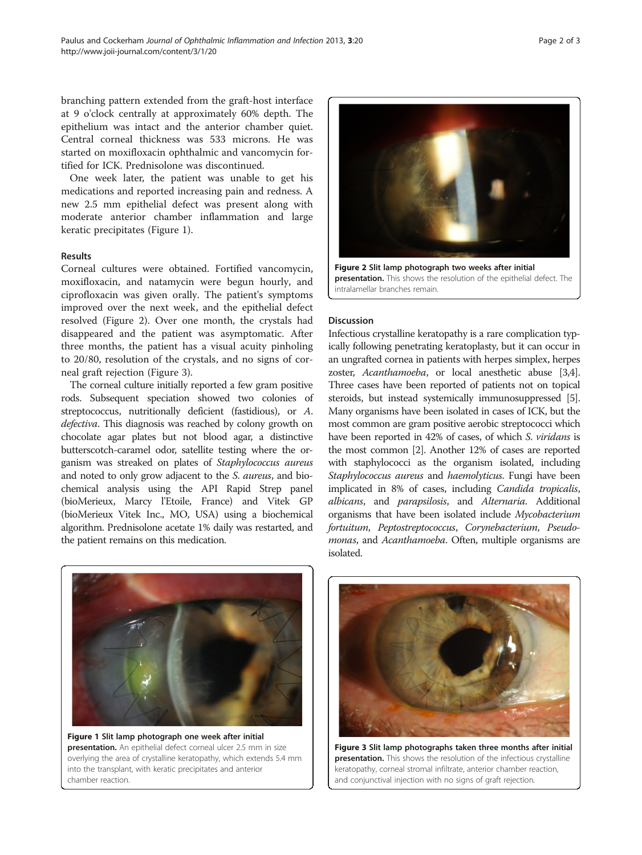branching pattern extended from the graft-host interface at 9 o'clock centrally at approximately 60% depth. The epithelium was intact and the anterior chamber quiet. Central corneal thickness was 533 microns. He was started on moxifloxacin ophthalmic and vancomycin fortified for ICK. Prednisolone was discontinued.

One week later, the patient was unable to get his medications and reported increasing pain and redness. A new 2.5 mm epithelial defect was present along with moderate anterior chamber inflammation and large keratic precipitates (Figure 1).

#### Results

Corneal cultures were obtained. Fortified vancomycin, moxifloxacin, and natamycin were begun hourly, and ciprofloxacin was given orally. The patient's symptoms improved over the next week, and the epithelial defect resolved (Figure 2). Over one month, the crystals had disappeared and the patient was asymptomatic. After three months, the patient has a visual acuity pinholing to 20/80, resolution of the crystals, and no signs of corneal graft rejection (Figure 3).

The corneal culture initially reported a few gram positive rods. Subsequent speciation showed two colonies of streptococcus, nutritionally deficient (fastidious), or A. defectiva. This diagnosis was reached by colony growth on chocolate agar plates but not blood agar, a distinctive butterscotch-caramel odor, satellite testing where the organism was streaked on plates of Staphylococcus aureus and noted to only grow adjacent to the S. aureus, and biochemical analysis using the API Rapid Strep panel (bioMerieux, Marcy l'Etoile, France) and Vitek GP (bioMerieux Vitek Inc., MO, USA) using a biochemical algorithm. Prednisolone acetate 1% daily was restarted, and the patient remains on this medication.



presentation. This shows the resolution of the epithelial defect. The intralamellar branches remain.

### **Discussion**

Infectious crystalline keratopathy is a rare complication typically following penetrating keratoplasty, but it can occur in an ungrafted cornea in patients with herpes simplex, herpes zoster, Acanthamoeba, or local anesthetic abuse [\[3,4](#page-2-0)]. Three cases have been reported of patients not on topical steroids, but instead systemically immunosuppressed [[5](#page-2-0)]. Many organisms have been isolated in cases of ICK, but the most common are gram positive aerobic streptococci which have been reported in 42% of cases, of which S. viridans is the most common [[2](#page-2-0)]. Another 12% of cases are reported with staphylococci as the organism isolated, including Staphylococcus aureus and haemolyticus. Fungi have been implicated in 8% of cases, including Candida tropicalis, albicans, and parapsilosis, and Alternaria. Additional organisms that have been isolated include Mycobacterium fortuitum, Peptostreptococcus, Corynebacterium, Pseudomonas, and Acanthamoeba. Often, multiple organisms are isolated.



Figure 1 Slit lamp photograph one week after initial presentation. An epithelial defect corneal ulcer 2.5 mm in size overlying the area of crystalline keratopathy, which extends 5.4 mm into the transplant, with keratic precipitates and anterior chamber reaction.



Figure 3 Slit lamp photographs taken three months after initial presentation. This shows the resolution of the infectious crystalline keratopathy, corneal stromal infiltrate, anterior chamber reaction, and conjunctival injection with no signs of graft rejection.